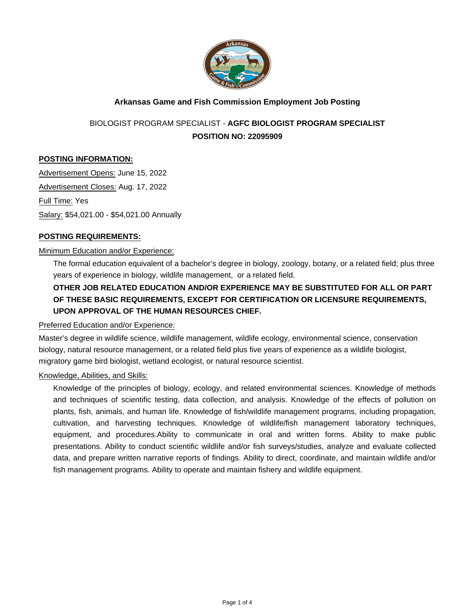

## **Arkansas Game and Fish Commission Employment Job Posting**

# BIOLOGIST PROGRAM SPECIALIST - **AGFC BIOLOGIST PROGRAM SPECIALIST POSITION NO: 22095909**

## **POSTING INFORMATION:**

Advertisement Opens: June 15, 2022 Advertisement Closes: Aug. 17, 2022 Full Time: Yes Salary: \$54,021.00 - \$54,021.00 Annually

#### **POSTING REQUIREMENTS:**

#### Minimum Education and/or Experience:

The formal education equivalent of a bachelor's degree in biology, zoology, botany, or a related field; plus three years of experience in biology, wildlife management, or a related field.

## **OTHER JOB RELATED EDUCATION AND/OR EXPERIENCE MAY BE SUBSTITUTED FOR ALL OR PART OF THESE BASIC REQUIREMENTS, EXCEPT FOR CERTIFICATION OR LICENSURE REQUIREMENTS, UPON APPROVAL OF THE HUMAN RESOURCES CHIEF.**

#### Preferred Education and/or Experience:

Master's degree in wildlife science, wildlife management, wildlife ecology, environmental science, conservation biology, natural resource management, or a related field plus five years of experience as a wildlife biologist, migratory game bird biologist, wetland ecologist, or natural resource scientist.

#### Knowledge, Abilities, and Skills:

Knowledge of the principles of biology, ecology, and related environmental sciences. Knowledge of methods and techniques of scientific testing, data collection, and analysis. Knowledge of the effects of pollution on plants, fish, animals, and human life. Knowledge of fish/wildlife management programs, including propagation, cultivation, and harvesting techniques. Knowledge of wildlife/fish management laboratory techniques, equipment, and procedures.Ability to communicate in oral and written forms. Ability to make public presentations. Ability to conduct scientific wildlife and/or fish surveys/studies, analyze and evaluate collected data, and prepare written narrative reports of findings. Ability to direct, coordinate, and maintain wildlife and/or fish management programs. Ability to operate and maintain fishery and wildlife equipment.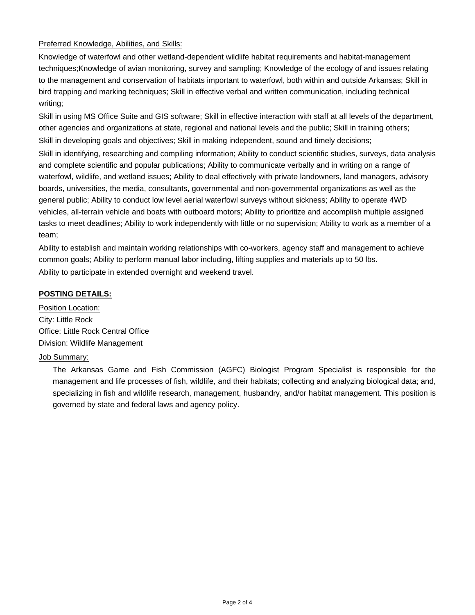### Preferred Knowledge, Abilities, and Skills:

Knowledge of waterfowl and other wetland-dependent wildlife habitat requirements and habitat-management techniques;Knowledge of avian monitoring, survey and sampling; Knowledge of the ecology of and issues relating to the management and conservation of habitats important to waterfowl, both within and outside Arkansas; Skill in bird trapping and marking techniques; Skill in effective verbal and written communication, including technical writing;

Skill in using MS Office Suite and GIS software; Skill in effective interaction with staff at all levels of the department, other agencies and organizations at state, regional and national levels and the public; Skill in training others; Skill in developing goals and objectives; Skill in making independent, sound and timely decisions; Skill in identifying, researching and compiling information; Ability to conduct scientific studies, surveys, data analysis and complete scientific and popular publications; Ability to communicate verbally and in writing on a range of waterfowl, wildlife, and wetland issues; Ability to deal effectively with private landowners, land managers, advisory boards, universities, the media, consultants, governmental and non-governmental organizations as well as the general public; Ability to conduct low level aerial waterfowl surveys without sickness; Ability to operate 4WD vehicles, all-terrain vehicle and boats with outboard motors; Ability to prioritize and accomplish multiple assigned tasks to meet deadlines; Ability to work independently with little or no supervision; Ability to work as a member of a team;

Ability to establish and maintain working relationships with co-workers, agency staff and management to achieve common goals; Ability to perform manual labor including, lifting supplies and materials up to 50 lbs. Ability to participate in extended overnight and weekend travel.

## **POSTING DETAILS:**

Position Location: City: Little Rock Office: Little Rock Central Office Division: Wildlife Management

## Job Summary:

The Arkansas Game and Fish Commission (AGFC) Biologist Program Specialist is responsible for the management and life processes of fish, wildlife, and their habitats; collecting and analyzing biological data; and, specializing in fish and wildlife research, management, husbandry, and/or habitat management. This position is governed by state and federal laws and agency policy.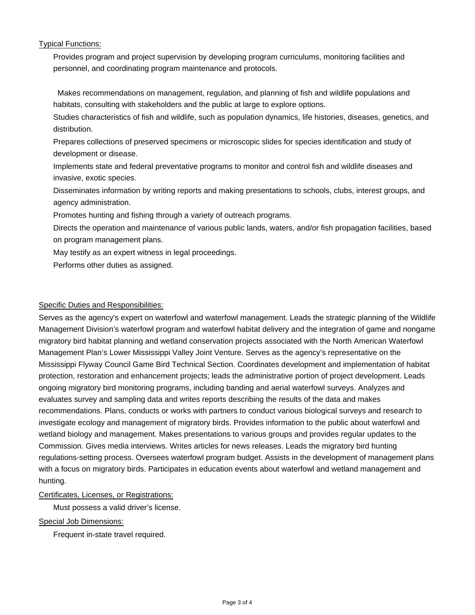Typical Functions:

Provides program and project supervision by developing program curriculums, monitoring facilities and personnel, and coordinating program maintenance and protocols.

Makes recommendations on management, regulation, and planning of fish and wildlife populations and habitats, consulting with stakeholders and the public at large to explore options.

Studies characteristics of fish and wildlife, such as population dynamics, life histories, diseases, genetics, and distribution.

Prepares collections of preserved specimens or microscopic slides for species identification and study of development or disease.

Implements state and federal preventative programs to monitor and control fish and wildlife diseases and invasive, exotic species.

Disseminates information by writing reports and making presentations to schools, clubs, interest groups, and agency administration.

Promotes hunting and fishing through a variety of outreach programs.

Directs the operation and maintenance of various public lands, waters, and/or fish propagation facilities, based on program management plans.

May testify as an expert witness in legal proceedings.

Performs other duties as assigned.

## Specific Duties and Responsibilities:

Serves as the agency's expert on waterfowl and waterfowl management. Leads the strategic planning of the Wildlife Management Division's waterfowl program and waterfowl habitat delivery and the integration of game and nongame migratory bird habitat planning and wetland conservation projects associated with the North American Waterfowl Management Plan's Lower Mississippi Valley Joint Venture. Serves as the agency's representative on the Mississippi Flyway Council Game Bird Technical Section. Coordinates development and implementation of habitat protection, restoration and enhancement projects; leads the administrative portion of project development. Leads ongoing migratory bird monitoring programs, including banding and aerial waterfowl surveys. Analyzes and evaluates survey and sampling data and writes reports describing the results of the data and makes recommendations. Plans, conducts or works with partners to conduct various biological surveys and research to investigate ecology and management of migratory birds. Provides information to the public about waterfowl and wetland biology and management. Makes presentations to various groups and provides regular updates to the Commission. Gives media interviews. Writes articles for news releases. Leads the migratory bird hunting regulations-setting process. Oversees waterfowl program budget. Assists in the development of management plans with a focus on migratory birds. Participates in education events about waterfowl and wetland management and hunting.

## Certificates, Licenses, or Registrations:

Must possess a valid driver's license.

## Special Job Dimensions:

Frequent in-state travel required.